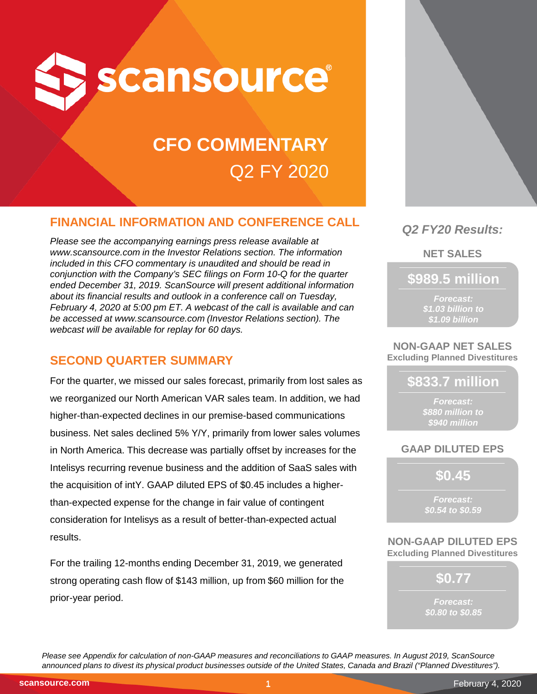

# **CFO COMMENTARY** Q2 FY 2020

# **FINANCIAL INFORMATION AND CONFERENCE CALL**

*Please see the accompanying earnings press release available at www.scansource.com in the Investor Relations section. The information included in this CFO commentary is unaudited and should be read in conjunction with the Company's SEC filings on Form 10-Q for the quarter ended December 31, 2019. ScanSource will present additional information about its financial results and outlook in a conference call on Tuesday, February 4, 2020 at 5:00 pm ET. A webcast of the call is available and can be accessed at www.scansource.com (Investor Relations section). The webcast will be available for replay for 60 days.*

# **SECOND QUARTER SUMMARY**

For the quarter, we missed our sales forecast, primarily from lost sales as we reorganized our North American VAR sales team. In addition, we had higher-than-expected declines in our premise-based communications business. Net sales declined 5% Y/Y, primarily from lower sales volumes in North America. This decrease was partially offset by increases for the Intelisys recurring revenue business and the addition of SaaS sales with the acquisition of intY. GAAP diluted EPS of \$0.45 includes a higherthan-expected expense for the change in fair value of contingent consideration for Intelisys as a result of better-than-expected actual results.

For the trailing 12-months ending December 31, 2019, we generated strong operating cash flow of \$143 million, up from \$60 million for the prior-year period.



# *Q2 FY20 Results:*

**NET SALES**

**\$989.5 million**

*Forecast: \$1.03 billion to \$1.09 billion*

**NON-GAAP NET SALES Excluding Planned Divestitures**

# **\$833.7 million**

*Forecast: \$880 million to \$940 million*

#### **GAAP DILUTED EPS**

**\$0.45**

*Forecast: \$0.54 to \$0.59*

**NON-GAAP DILUTED EPS Excluding Planned Divestitures**



*Please see Appendix for calculation of non-GAAP measures and reconciliations to GAAP measures. In August 2019, ScanSource announced plans to divest its physical product businesses outside of the United States, Canada and Brazil ("Planned Divestitures").*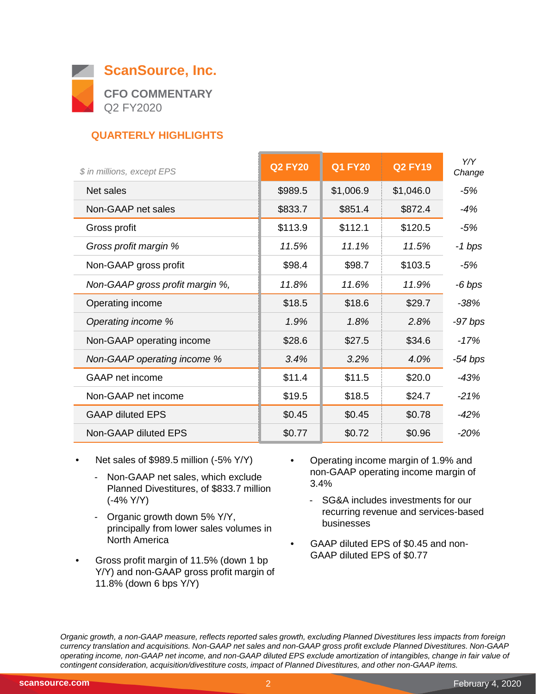

# **QUARTERLY HIGHLIGHTS**

| \$ in millions, except EPS      | <b>Q2 FY20</b> | <b>Q1 FY20</b> | <b>Q2 FY19</b> | Y/Y<br>Change |
|---------------------------------|----------------|----------------|----------------|---------------|
| Net sales                       | \$989.5        | \$1,006.9      | \$1,046.0      | -5%           |
| Non-GAAP net sales              | \$833.7        | \$851.4        | \$872.4        | -4%           |
| Gross profit                    | \$113.9        | \$112.1        | \$120.5        | -5%           |
| Gross profit margin %           | 11.5%          | 11.1%          | 11.5%          | -1 bps        |
| Non-GAAP gross profit           | \$98.4         | \$98.7         | \$103.5        | -5%           |
| Non-GAAP gross profit margin %, | 11.8%          | 11.6%          | 11.9%          | -6 bps        |
| Operating income                | \$18.5         | \$18.6         | \$29.7         | $-38%$        |
| Operating income %              | 1.9%           | 1.8%           | 2.8%           | $-97$ bps     |
| Non-GAAP operating income       | \$28.6         | \$27.5         | \$34.6         | $-17%$        |
| Non-GAAP operating income %     | 3.4%           | 3.2%           | 4.0%           | $-54$ bps     |
| <b>GAAP</b> net income          | \$11.4         | \$11.5         | \$20.0         | $-43%$        |
| Non-GAAP net income             | \$19.5         | \$18.5         | \$24.7         | $-21%$        |
| <b>GAAP diluted EPS</b>         | \$0.45         | \$0.45         | \$0.78         | $-42%$        |
| Non-GAAP diluted EPS            | \$0.77         | \$0.72         | \$0.96         | $-20%$        |

- Net sales of \$989.5 million (-5% Y/Y)
	- Non-GAAP net sales, which exclude Planned Divestitures, of \$833.7 million (-4% Y/Y)
	- Organic growth down 5% Y/Y, principally from lower sales volumes in North America
- Gross profit margin of 11.5% (down 1 bp Y/Y) and non-GAAP gross profit margin of 11.8% (down 6 bps Y/Y)
- Operating income margin of 1.9% and non-GAAP operating income margin of 3.4%
	- SG&A includes investments for our recurring revenue and services-based businesses
- GAAP diluted EPS of \$0.45 and non-GAAP diluted EPS of \$0.77

*Organic growth, a non-GAAP measure, reflects reported sales growth, excluding Planned Divestitures less impacts from foreign currency translation and acquisitions. Non-GAAP net sales and non-GAAP gross profit exclude Planned Divestitures. Non-GAAP operating income, non-GAAP net income, and non-GAAP diluted EPS exclude amortization of intangibles, change in fair value of contingent consideration, acquisition/divestiture costs, impact of Planned Divestitures, and other non-GAAP items.*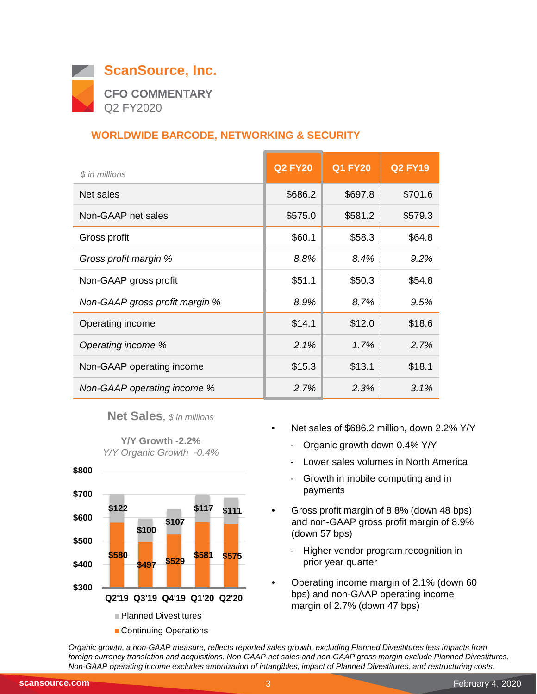

# **WORLDWIDE BARCODE, NETWORKING & SECURITY**

| \$ in millions                 | <b>Q2 FY20</b> | <b>Q1 FY20</b> | <b>Q2 FY19</b> |
|--------------------------------|----------------|----------------|----------------|
| Net sales                      | \$686.2        | \$697.8        | \$701.6        |
| Non-GAAP net sales             | \$575.0        | \$581.2        | \$579.3        |
| Gross profit                   | \$60.1         | \$58.3         | \$64.8         |
| Gross profit margin %          | 8.8%           | 8.4%           | 9.2%           |
| Non-GAAP gross profit          | \$51.1         | \$50.3         | \$54.8         |
| Non-GAAP gross profit margin % | 8.9%           | 8.7%           | 9.5%           |
| Operating income               | \$14.1         | \$12.0         | \$18.6         |
| Operating income %             | 2.1%           | 1.7%           | 2.7%           |
| Non-GAAP operating income      | \$15.3         | \$13.1         | \$18.1         |
| Non-GAAP operating income %    | 2.7%           | 2.3%           | 3.1%           |

**Net Sales***, \$ in millions*

**Y/Y Growth -2.2%** *Y/Y Organic Growth -0.4%*



- Net sales of \$686.2 million, down 2.2% Y/Y
	- Organic growth down 0.4% Y/Y
	- Lower sales volumes in North America
	- Growth in mobile computing and in payments
- Gross profit margin of 8.8% (down 48 bps) and non-GAAP gross profit margin of 8.9% (down 57 bps)
	- Higher vendor program recognition in prior year quarter
- Operating income margin of 2.1% (down 60 bps) and non-GAAP operating income margin of 2.7% (down 47 bps)

*Organic growth, a non-GAAP measure, reflects reported sales growth, excluding Planned Divestitures less impacts from foreign currency translation and acquisitions. Non-GAAP net sales and non-GAAP gross margin exclude Planned Divestitures. Non-GAAP operating income excludes amortization of intangibles, impact of Planned Divestitures, and restructuring costs.*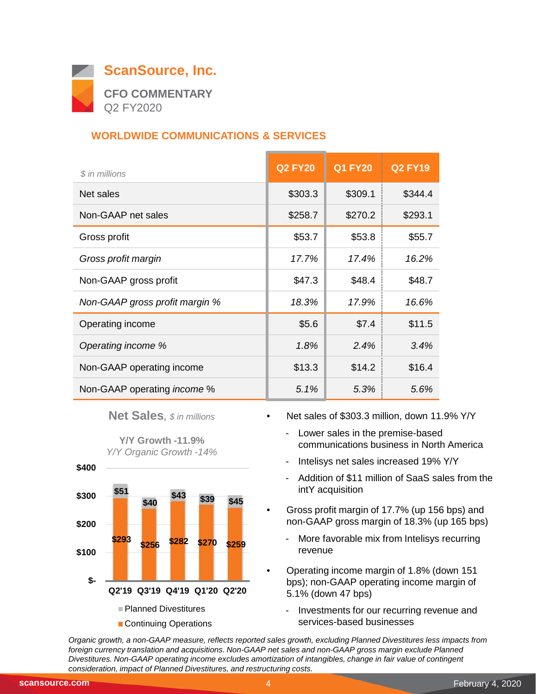

# **WORLDWIDE COMMUNICATIONS & SERVICES**

| \$ in millions                     | <b>Q2 FY20</b> | <b>Q1 FY20</b> | <b>Q2 FY19</b> |
|------------------------------------|----------------|----------------|----------------|
| Net sales                          | \$303.3        | \$309.1        | \$344.4        |
| Non-GAAP net sales                 | \$258.7        | \$270.2        | \$293.1        |
| Gross profit                       | \$53.7         | \$53.8         | \$55.7         |
| Gross profit margin                | 17.7%          | 17.4%          | 16.2%          |
| Non-GAAP gross profit              | \$47.3         | \$48.4         | \$48.7         |
| Non-GAAP gross profit margin %     | 18.3%          | 17.9%          | 16.6%          |
| Operating income                   | \$5.6          | \$7.4          | \$11.5         |
| Operating income %                 | 1.8%           | 2.4%           | 3.4%           |
| Non-GAAP operating income          | \$13.3         | \$14.2         | \$16.4         |
| Non-GAAP operating <i>income</i> % | 5.1%           | 5.3%           | 5.6%           |

**Net Sales***, \$ in millions*

**Y/Y Growth -11.9%** *Y/Y Organic Growth -14%*



- Net sales of \$303.3 million, down 11.9% Y/Y
	- Lower sales in the premise-based communications business in North America
	- Intelisys net sales increased 19% Y/Y
	- Addition of \$11 million of SaaS sales from the intY acquisition
- Gross profit margin of 17.7% (up 156 bps) and non-GAAP gross margin of 18.3% (up 165 bps)
	- More favorable mix from Intelisys recurring revenue
- Operating income margin of 1.8% (down 151 bps); non-GAAP operating income margin of 5.1% (down 47 bps)
	- Investments for our recurring revenue and services-based businesses

*Organic growth, a non-GAAP measure, reflects reported sales growth, excluding Planned Divestitures less impacts from*  foreign currency translation and acquisitions. Non-GAAP net sales and non-GAAP gross margin exclude Planned *Divestitures. Non-GAAP operating income excludes amortization of intangibles, change in fair value of contingent consideration, impact of Planned Divestitures, and restructuring costs.* $\overline{\phantom{0}}$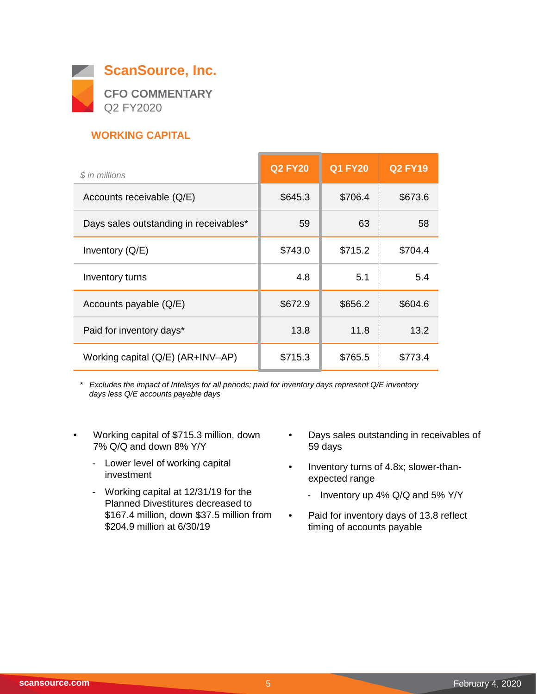

#### **WORKING CAPITAL**

| \$ in millions                         | <b>Q2 FY20</b> | <b>Q1 FY20</b> | <b>Q2 FY19</b> |
|----------------------------------------|----------------|----------------|----------------|
| Accounts receivable (Q/E)              | \$645.3        | \$706.4        | \$673.6        |
| Days sales outstanding in receivables* | 59             | 63             | 58             |
| Inventory $(Q/E)$                      | \$743.0        | \$715.2        | \$704.4        |
| Inventory turns                        | 4.8            | 5.1            | 5.4            |
| Accounts payable (Q/E)                 | \$672.9        | \$656.2        | \$604.6        |
| Paid for inventory days*               | 13.8           | 11.8           | 13.2           |
| Working capital (Q/E) (AR+INV-AP)      | \$715.3        | \$765.5        | \$773.4        |

*\* Excludes the impact of Intelisys for all periods; paid for inventory days represent Q/E inventory days less Q/E accounts payable days*

- Working capital of \$715.3 million, down 7% Q/Q and down 8% Y/Y
	- Lower level of working capital investment
	- Working capital at 12/31/19 for the Planned Divestitures decreased to \$167.4 million, down \$37.5 million from \$204.9 million at 6/30/19
- Days sales outstanding in receivables of 59 days
- Inventory turns of 4.8x; slower-thanexpected range
	- Inventory up 4% Q/Q and 5% Y/Y
- Paid for inventory days of 13.8 reflect timing of accounts payable

 $\overline{\phantom{0}}$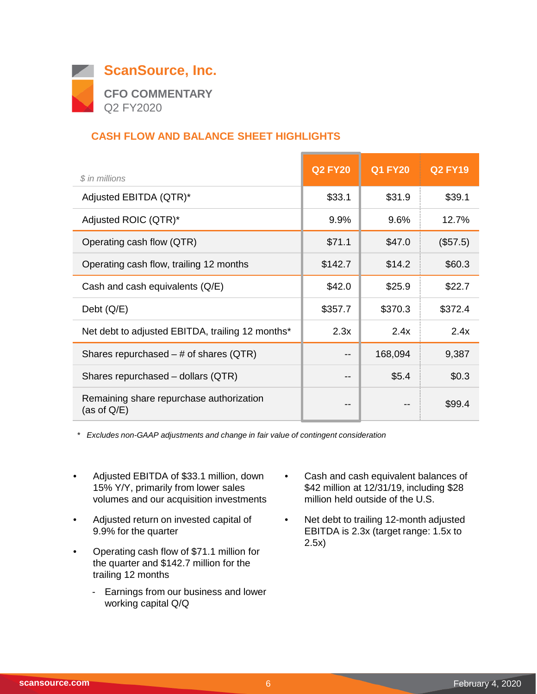

# **CASH FLOW AND BALANCE SHEET HIGHLIGHTS**

| \$ in millions                                             | <b>Q2 FY20</b> | <b>Q1 FY20</b> | <b>Q2 FY19</b> |
|------------------------------------------------------------|----------------|----------------|----------------|
| Adjusted EBITDA (QTR)*                                     | \$33.1         | \$31.9         | \$39.1         |
| Adjusted ROIC (QTR)*                                       | 9.9%           | 9.6%           | 12.7%          |
| Operating cash flow (QTR)                                  | \$71.1         | \$47.0         | (\$57.5)       |
| Operating cash flow, trailing 12 months                    | \$142.7        | \$14.2         | \$60.3         |
| Cash and cash equivalents (Q/E)                            | \$42.0         | \$25.9         | \$22.7         |
| Debt $(Q/E)$                                               | \$357.7        | \$370.3        | \$372.4        |
| Net debt to adjusted EBITDA, trailing 12 months*           | 2.3x           | 2.4x           | 2.4x           |
| Shares repurchased $-$ # of shares (QTR)                   | --             | 168,094        | 9,387          |
| Shares repurchased - dollars (QTR)                         | --             | \$5.4          | \$0.3          |
| Remaining share repurchase authorization<br>(as of $Q/E$ ) | --             |                | \$99.4         |

*\* Excludes non-GAAP adjustments and change in fair value of contingent consideration*

- Adjusted EBITDA of \$33.1 million, down 15% Y/Y, primarily from lower sales volumes and our acquisition investments
- Adjusted return on invested capital of 9.9% for the quarter
- Operating cash flow of \$71.1 million for the quarter and \$142.7 million for the trailing 12 months
	- Earnings from our business and lower working capital Q/Q
- Cash and cash equivalent balances of \$42 million at 12/31/19, including \$28 million held outside of the U.S.
- Net debt to trailing 12-month adjusted EBITDA is 2.3x (target range: 1.5x to 2.5x)

 $\overline{\phantom{0}}$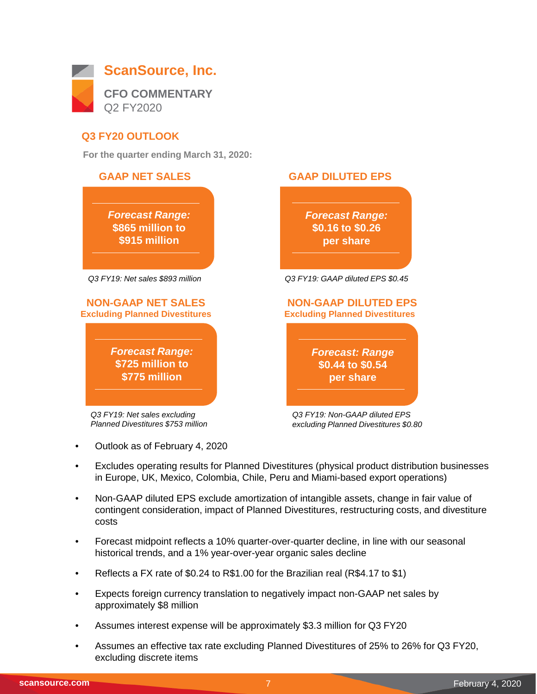

#### **Q3 FY20 OUTLOOK**

**For the quarter ending March 31, 2020:**



- Outlook as of February 4, 2020
- Excludes operating results for Planned Divestitures (physical product distribution businesses in Europe, UK, Mexico, Colombia, Chile, Peru and Miami-based export operations)
- Non-GAAP diluted EPS exclude amortization of intangible assets, change in fair value of contingent consideration, impact of Planned Divestitures, restructuring costs, and divestiture costs
- Forecast midpoint reflects a 10% quarter-over-quarter decline, in line with our seasonal historical trends, and a 1% year-over-year organic sales decline
- Reflects a FX rate of \$0.24 to R\$1.00 for the Brazilian real (R\$4.17 to \$1)
- Expects foreign currency translation to negatively impact non-GAAP net sales by approximately \$8 million
- Assumes interest expense will be approximately \$3.3 million for Q3 FY20
- Assumes an effective tax rate excluding Planned Divestitures of 25% to 26% for Q3 FY20, excluding discrete items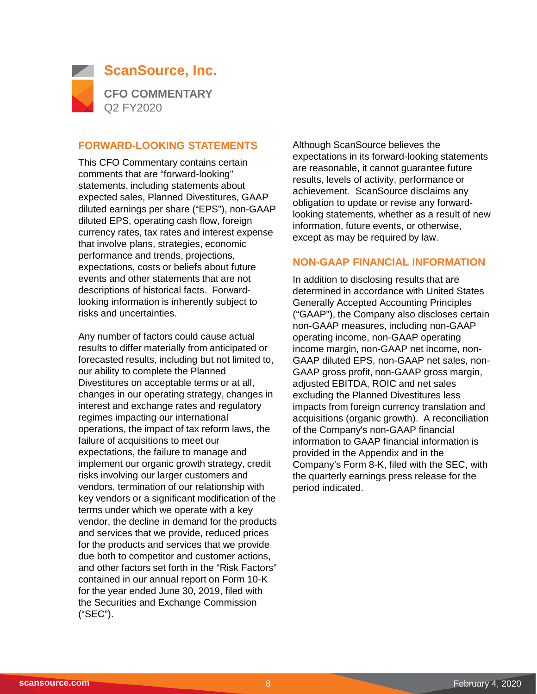

#### **FORWARD-LOOKING STATEMENTS**

This CFO Commentary contains certain comments that are "forward-looking" statements, including statements about expected sales, Planned Divestitures, GAAP diluted earnings per share ("EPS"), non-GAAP diluted EPS, operating cash flow, foreign currency rates, tax rates and interest expense that involve plans, strategies, economic performance and trends, projections, expectations, costs or beliefs about future events and other statements that are not descriptions of historical facts. Forwardlooking information is inherently subject to risks and uncertainties.

Any number of factors could cause actual results to differ materially from anticipated or forecasted results, including but not limited to, our ability to complete the Planned Divestitures on acceptable terms or at all, changes in our operating strategy, changes in interest and exchange rates and regulatory regimes impacting our international operations, the impact of tax reform laws, the failure of acquisitions to meet our expectations, the failure to manage and implement our organic growth strategy, credit risks involving our larger customers and vendors, termination of our relationship with key vendors or a significant modification of the terms under which we operate with a key vendor, the decline in demand for the products and services that we provide, reduced prices for the products and services that we provide due both to competitor and customer actions, and other factors set forth in the "Risk Factors" contained in our annual report on Form 10-K for the year ended June 30, 2019, filed with the Securities and Exchange Commission ("SEC").

Although ScanSource believes the expectations in its forward-looking statements are reasonable, it cannot guarantee future results, levels of activity, performance or achievement. ScanSource disclaims any obligation to update or revise any forwardlooking statements, whether as a result of new information, future events, or otherwise, except as may be required by law.

#### **NON-GAAP FINANCIAL INFORMATION**

In addition to disclosing results that are determined in accordance with United States Generally Accepted Accounting Principles ("GAAP"), the Company also discloses certain non-GAAP measures, including non-GAAP operating income, non-GAAP operating income margin, non-GAAP net income, non-GAAP diluted EPS, non-GAAP net sales, non-GAAP gross profit, non-GAAP gross margin, adjusted EBITDA, ROIC and net sales excluding the Planned Divestitures less impacts from foreign currency translation and acquisitions (organic growth). A reconciliation of the Company's non-GAAP financial information to GAAP financial information is provided in the Appendix and in the Company's Form 8-K, filed with the SEC, with the quarterly earnings press release for the period indicated.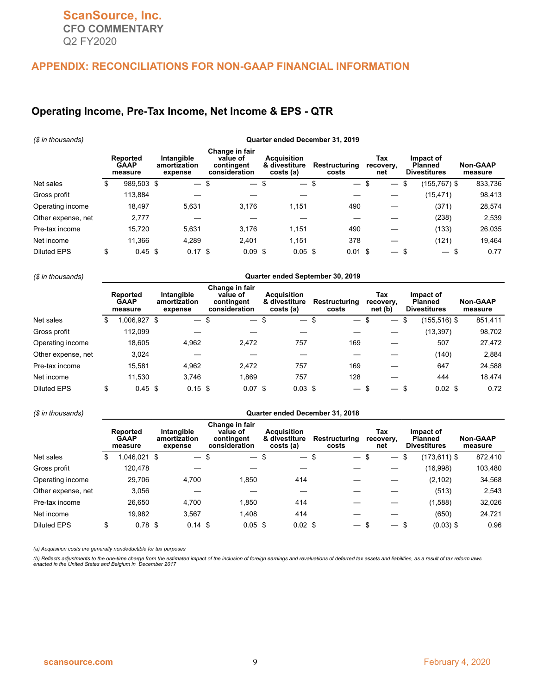#### **Operating Income, Pre-Tax Income, Net Income & EPS - QTR**

*(\$ in thousands)* **Quarter ended December 31, 2018**

| (\$ in thousands)  |                                           |            |                                       |     |                                                           |     | Quarter ended December 31, 2019                  |    |                        |     |                         |    |                                                    |                            |
|--------------------|-------------------------------------------|------------|---------------------------------------|-----|-----------------------------------------------------------|-----|--------------------------------------------------|----|------------------------|-----|-------------------------|----|----------------------------------------------------|----------------------------|
|                    | <b>Reported</b><br><b>GAAP</b><br>measure |            | Intangible<br>amortization<br>expense |     | Change in fair<br>value of<br>contingent<br>consideration |     | <b>Acquisition</b><br>& divestiture<br>costs (a) |    | Restructuring<br>costs |     | Tax<br>recovery,<br>net |    | Impact of<br><b>Planned</b><br><b>Divestitures</b> | <b>Non-GAAP</b><br>measure |
| Net sales          | \$                                        | 989,503 \$ | $\overline{\phantom{0}}$              | -\$ | $\overbrace{\phantom{12333}}$                             | -\$ | $\overline{\phantom{0}}$                         | \$ |                        | -\$ | $\qquad \qquad -$       | \$ | $(155, 767)$ \$                                    | 833,736                    |
| Gross profit       |                                           | 113.884    |                                       |     |                                                           |     |                                                  |    |                        |     |                         |    | (15,471)                                           | 98,413                     |
| Operating income   |                                           | 18,497     | 5.631                                 |     | 3.176                                                     |     | 1,151                                            |    | 490                    |     |                         |    | (371)                                              | 28,574                     |
| Other expense, net |                                           | 2,777      |                                       |     |                                                           |     |                                                  |    |                        |     |                         |    | (238)                                              | 2,539                      |
| Pre-tax income     |                                           | 15,720     | 5.631                                 |     | 3.176                                                     |     | 1.151                                            |    | 490                    |     |                         |    | (133)                                              | 26,035                     |
| Net income         |                                           | 11,366     | 4.289                                 |     | 2.401                                                     |     | 1.151                                            |    | 378                    |     |                         |    | (121)                                              | 19,464                     |
| <b>Diluted EPS</b> | \$                                        | $0.45$ \$  | $0.17$ \$                             |     | $0.09$ \$                                                 |     | $0.05$ \$                                        |    | $0.01$ \$              |     | — \$                    |    | -\$<br>$\overline{\phantom{0}}$                    | 0.77                       |

#### *(\$ in thousands)* **Quarter ended September 30, 2019**

|                    | Reported<br><b>GAAP</b><br>expense<br>measure |              | Intangible<br>amortization | Change in fair<br>value of<br>contingent<br>consideration |     |           | <b>Acquisition</b><br>& divestiture<br>costs (a) |                          | Restructuring<br>costs | Tax<br>recovery.<br>net (b) |    | Impact of<br><b>Planned</b><br><b>Divestitures</b> |    | <b>Non-GAAP</b><br>measure |         |
|--------------------|-----------------------------------------------|--------------|----------------------------|-----------------------------------------------------------|-----|-----------|--------------------------------------------------|--------------------------|------------------------|-----------------------------|----|----------------------------------------------------|----|----------------------------|---------|
| Net sales          | \$                                            | 1,006,927 \$ |                            |                                                           | -\$ |           | \$                                               | $\overline{\phantom{0}}$ | \$                     | $\overline{\phantom{0}}$    | \$ | $\overbrace{\phantom{12322111}}$                   | \$ | (155,516) \$               | 851,411 |
| Gross profit       |                                               | 112,099      |                            |                                                           |     |           |                                                  |                          |                        |                             |    |                                                    |    | (13, 397)                  | 98,702  |
| Operating income   |                                               | 18,605       |                            | 4.962                                                     |     | 2.472     |                                                  | 757                      |                        | 169                         |    |                                                    |    | 507                        | 27,472  |
| Other expense, net |                                               | 3,024        |                            |                                                           |     |           |                                                  |                          |                        |                             |    |                                                    |    | (140)                      | 2,884   |
| Pre-tax income     |                                               | 15,581       |                            | 4,962                                                     |     | 2,472     |                                                  | 757                      |                        | 169                         |    |                                                    |    | 647                        | 24,588  |
| Net income         |                                               | 11.530       |                            | 3.746                                                     |     | 1.869     |                                                  | 757                      |                        | 128                         |    |                                                    |    | 444                        | 18.474  |
| Diluted EPS        | \$                                            | $0.45$ \$    |                            | $0.15$ \$                                                 |     | $0.07$ \$ |                                                  | $0.03$ \$                |                        | $-$ \$                      |    | — \$                                               |    | $0.02$ \$                  | 0.72    |

| $14.11$ $11.9$ $10.10$ | aaanton omada boodimbor em 2010 |                                    |  |                                       |  |                                                           |      |                                                  |      |                          |   |                          |     |                                                    |  |                            |  |
|------------------------|---------------------------------|------------------------------------|--|---------------------------------------|--|-----------------------------------------------------------|------|--------------------------------------------------|------|--------------------------|---|--------------------------|-----|----------------------------------------------------|--|----------------------------|--|
|                        |                                 | Reported<br><b>GAAP</b><br>measure |  | Intangible<br>amortization<br>expense |  | Change in fair<br>value of<br>contingent<br>consideration |      | <b>Acquisition</b><br>& divestiture<br>costs (a) |      | Restructuring<br>costs   |   | Tax<br>recovery,<br>net  |     | Impact of<br><b>Planned</b><br><b>Divestitures</b> |  | <b>Non-GAAP</b><br>measure |  |
| Net sales              | J                               | 1,046,021 \$                       |  | $-$ \$                                |  | $\overline{\phantom{0}}$                                  | - \$ |                                                  | - \$ | $\overline{\phantom{0}}$ | ъ | $\overline{\phantom{m}}$ | -\$ | $(173, 611)$ \$                                    |  | 872,410                    |  |
| Gross profit           |                                 | 120.478                            |  |                                       |  |                                                           |      |                                                  |      |                          |   |                          |     | (16,998)                                           |  | 103,480                    |  |
| Operating income       |                                 | 29,706                             |  | 4,700                                 |  | 1.850                                                     |      | 414                                              |      |                          |   |                          |     | (2, 102)                                           |  | 34,568                     |  |
| Other expense, net     |                                 | 3,056                              |  |                                       |  |                                                           |      |                                                  |      |                          |   |                          |     | (513)                                              |  | 2,543                      |  |
| Pre-tax income         |                                 | 26,650                             |  | 4,700                                 |  | 1.850                                                     |      | 414                                              |      |                          |   |                          |     | (1,588)                                            |  | 32,026                     |  |
| Net income             |                                 | 19.982                             |  | 3.567                                 |  | 1.408                                                     |      | 414                                              |      |                          |   |                          |     | (650)                                              |  | 24,721                     |  |
| <b>Diluted EPS</b>     | \$                              | $0.78$ \$                          |  | $0.14$ \$                             |  | $0.05$ \$                                                 |      | $0.02$ \$                                        |      | — ა                      |   | — \$                     |     | $(0.03)$ \$                                        |  | 0.96                       |  |

*(a) Acquisition costs are generally nondeductible for tax purposes*

(b) Reflects adjustments to the one-time charge from the estimated impact of the inclusion of foreign earnings and revaluations of deferred tax assets and liabilities, as a result of tax reform laws<br>enacted in the United S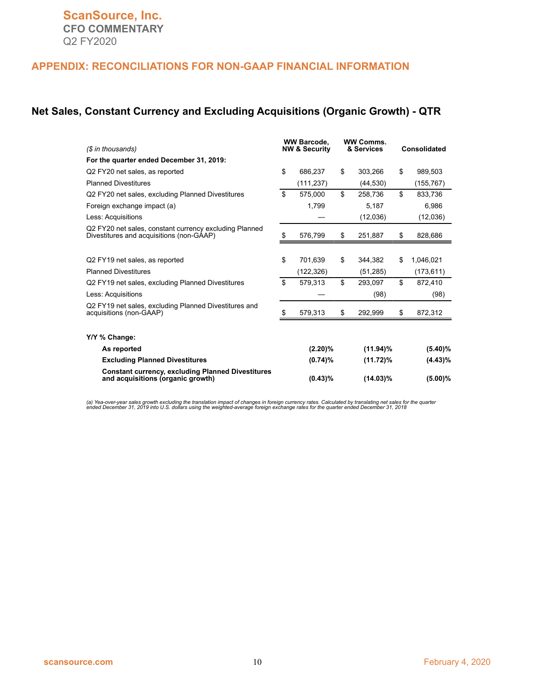#### **Net Sales, Constant Currency and Excluding Acquisitions (Organic Growth) - QTR**

| (\$ in thousands)                                                                                  | <b>WW Barcode.</b><br><b>NW &amp; Security</b> | <b>WW Comms.</b><br>& Services | <b>Consolidated</b> |
|----------------------------------------------------------------------------------------------------|------------------------------------------------|--------------------------------|---------------------|
| For the quarter ended December 31, 2019:                                                           |                                                |                                |                     |
| Q2 FY20 net sales, as reported                                                                     | \$<br>686.237                                  | \$<br>303.266                  | \$<br>989.503       |
| <b>Planned Divestitures</b>                                                                        | (111, 237)                                     | (44, 530)                      | (155, 767)          |
| Q2 FY20 net sales, excluding Planned Divestitures                                                  | \$<br>575,000                                  | \$<br>258,736                  | \$<br>833,736       |
| Foreign exchange impact (a)                                                                        | 1,799                                          | 5,187                          | 6,986               |
| Less: Acquisitions                                                                                 |                                                | (12,036)                       | (12,036)            |
| Q2 FY20 net sales, constant currency excluding Planned<br>Divestitures and acquisitions (non-GAAP) | 576,799                                        | \$<br>251,887                  | \$<br>828,686       |
| Q2 FY19 net sales, as reported                                                                     | \$<br>701,639                                  | \$<br>344,382                  | \$<br>1,046,021     |
| <b>Planned Divestitures</b>                                                                        | (122, 326)                                     | (51, 285)                      | (173, 611)          |
| Q2 FY19 net sales, excluding Planned Divestitures                                                  | \$<br>579,313                                  | \$<br>293,097                  | \$<br>872,410       |
| Less: Acquisitions                                                                                 |                                                | (98)                           | (98)                |
| Q2 FY19 net sales, excluding Planned Divestitures and<br>acquisitions (non-GAAP)                   | 579,313                                        | \$<br>292,999                  | \$<br>872,312       |
| Y/Y % Change:                                                                                      |                                                |                                |                     |
| As reported                                                                                        | $(2.20)\%$                                     | $(11.94)\%$                    | $(5.40)\%$          |
| <b>Excluding Planned Divestitures</b>                                                              | $(0.74)$ %                                     | $(11.72)\%$                    | $(4.43)\%$          |
| <b>Constant currency, excluding Planned Divestitures</b><br>and acquisitions (organic growth)      | $(0.43)\%$                                     | $(14.03)\%$                    | $(5.00)\%$          |

(a) Yea-over-year sales growth excluding the translation impact of changes in foreign currency rates. Calculated by translating net sales for the quarter<br>ended December 31, 2019 into U.S. dollars using the weighted-average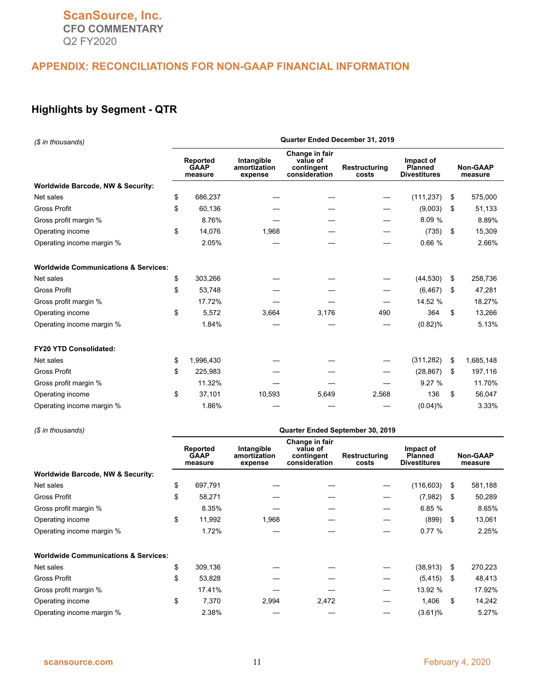#### **APPENDIX: RECONCILIATIONS FOR NON-GAAP FINANCIAL INFORMATION**

# **Highlights by Segment - QTR**

| (\$ in thousands)                               | Quarter Ended December 31, 2019 |                                           |                                       |                                                           |                               |                                                    |    |                            |  |  |  |  |  |
|-------------------------------------------------|---------------------------------|-------------------------------------------|---------------------------------------|-----------------------------------------------------------|-------------------------------|----------------------------------------------------|----|----------------------------|--|--|--|--|--|
|                                                 |                                 | <b>Reported</b><br><b>GAAP</b><br>measure | Intangible<br>amortization<br>expense | Change in fair<br>value of<br>contingent<br>consideration | <b>Restructuring</b><br>costs | Impact of<br><b>Planned</b><br><b>Divestitures</b> |    | <b>Non-GAAP</b><br>measure |  |  |  |  |  |
| Worldwide Barcode, NW & Security:               |                                 |                                           |                                       |                                                           |                               |                                                    |    |                            |  |  |  |  |  |
| Net sales                                       | \$                              | 686,237                                   |                                       |                                                           |                               | (111, 237)                                         | \$ | 575,000                    |  |  |  |  |  |
| <b>Gross Profit</b>                             | \$                              | 60,136                                    |                                       |                                                           |                               | (9,003)                                            | \$ | 51,133                     |  |  |  |  |  |
| Gross profit margin %                           |                                 | 8.76%                                     |                                       |                                                           |                               | 8.09 %                                             |    | 8.89%                      |  |  |  |  |  |
| Operating income                                | \$                              | 14,076                                    | 1,968                                 |                                                           |                               | (735)                                              | \$ | 15,309                     |  |  |  |  |  |
| Operating income margin %                       |                                 | 2.05%                                     |                                       |                                                           |                               | 0.66%                                              |    | 2.66%                      |  |  |  |  |  |
| <b>Worldwide Communications &amp; Services:</b> |                                 |                                           |                                       |                                                           |                               |                                                    |    |                            |  |  |  |  |  |
| Net sales                                       | \$                              | 303,266                                   |                                       |                                                           |                               | (44, 530)                                          | \$ | 258,736                    |  |  |  |  |  |
| <b>Gross Profit</b>                             | \$                              | 53,748                                    |                                       |                                                           |                               | (6, 467)                                           | \$ | 47,281                     |  |  |  |  |  |
| Gross profit margin %                           |                                 | 17.72%                                    |                                       |                                                           |                               | 14.52 %                                            |    | 18.27%                     |  |  |  |  |  |
| Operating income                                | \$                              | 5.572                                     | 3,664                                 | 3,176                                                     | 490                           | 364                                                | \$ | 13,266                     |  |  |  |  |  |
| Operating income margin %                       |                                 | 1.84%                                     |                                       |                                                           |                               | $(0.82)\%$                                         |    | 5.13%                      |  |  |  |  |  |
| <b>FY20 YTD Consolidated:</b>                   |                                 |                                           |                                       |                                                           |                               |                                                    |    |                            |  |  |  |  |  |
| Net sales                                       | \$                              | 1,996,430                                 |                                       |                                                           |                               | (311, 282)                                         | \$ | 1,685,148                  |  |  |  |  |  |
| <b>Gross Profit</b>                             | \$                              | 225,983                                   |                                       |                                                           |                               | (28, 867)                                          | \$ | 197,116                    |  |  |  |  |  |
| Gross profit margin %                           |                                 | 11.32%                                    |                                       |                                                           |                               | 9.27%                                              |    | 11.70%                     |  |  |  |  |  |
| Operating income                                | \$                              | 37,101                                    | 10,593                                | 5,649                                                     | 2,568                         | 136                                                | \$ | 56,047                     |  |  |  |  |  |
| Operating income margin %                       |                                 | 1.86%                                     |                                       |                                                           |                               | (0.04)%                                            |    | 3.33%                      |  |  |  |  |  |

|  | (\$ in thousands) |
|--|-------------------|
|--|-------------------|

| (\$ in thousands)                               | Quarter Ended September 30, 2019          |         |                                       |                                                           |                        |                                                    |      |                            |  |  |  |  |  |  |
|-------------------------------------------------|-------------------------------------------|---------|---------------------------------------|-----------------------------------------------------------|------------------------|----------------------------------------------------|------|----------------------------|--|--|--|--|--|--|
|                                                 | <b>Reported</b><br><b>GAAP</b><br>measure |         | Intangible<br>amortization<br>expense | Change in fair<br>value of<br>contingent<br>consideration | Restructuring<br>costs | Impact of<br><b>Planned</b><br><b>Divestitures</b> |      | <b>Non-GAAP</b><br>measure |  |  |  |  |  |  |
| Worldwide Barcode, NW & Security:               |                                           |         |                                       |                                                           |                        |                                                    |      |                            |  |  |  |  |  |  |
| Net sales                                       | \$                                        | 697,791 |                                       |                                                           |                        | (116, 603)                                         | - \$ | 581,188                    |  |  |  |  |  |  |
| Gross Profit                                    | \$                                        | 58,271  |                                       |                                                           |                        | (7,982)                                            | -S   | 50,289                     |  |  |  |  |  |  |
| Gross profit margin %                           |                                           | 8.35%   |                                       |                                                           |                        | 6.85 %                                             |      | 8.65%                      |  |  |  |  |  |  |
| Operating income                                | \$                                        | 11,992  | 1,968                                 |                                                           |                        | (899)                                              | \$   | 13,061                     |  |  |  |  |  |  |
| Operating income margin %                       |                                           | 1.72%   |                                       |                                                           |                        | 0.77%                                              |      | 2.25%                      |  |  |  |  |  |  |
| <b>Worldwide Communications &amp; Services:</b> |                                           |         |                                       |                                                           |                        |                                                    |      |                            |  |  |  |  |  |  |
| Net sales                                       | \$                                        | 309,136 |                                       |                                                           |                        | (38, 913)                                          | S    | 270,223                    |  |  |  |  |  |  |
| Gross Profit                                    | \$                                        | 53,828  |                                       |                                                           |                        | (5, 415)                                           | - \$ | 48,413                     |  |  |  |  |  |  |
| Gross profit margin %                           |                                           | 17.41%  |                                       |                                                           |                        | 13.92 %                                            |      | 17.92%                     |  |  |  |  |  |  |
| Operating income                                | \$                                        | 7,370   | 2,994                                 | 2,472                                                     |                        | 1,406                                              | S.   | 14,242                     |  |  |  |  |  |  |
| Operating income margin %                       |                                           | 2.38%   |                                       |                                                           |                        | $(3.61)\%$                                         |      | 5.27%                      |  |  |  |  |  |  |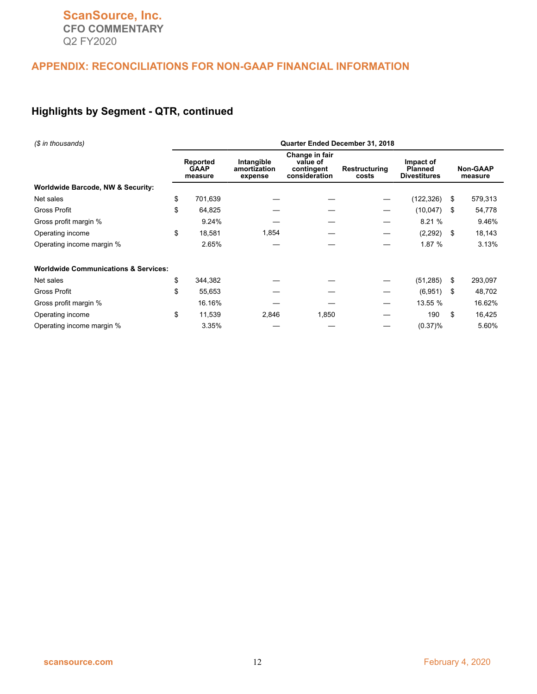# **APPENDIX: RECONCILIATIONS FOR NON-GAAP FINANCIAL INFORMATION**

# **Highlights by Segment - QTR, continued**

| (\$ in thousands)                               | Quarter Ended December 31, 2018 |                                    |                                       |                                                           |                        |                                                    |    |                            |  |  |  |
|-------------------------------------------------|---------------------------------|------------------------------------|---------------------------------------|-----------------------------------------------------------|------------------------|----------------------------------------------------|----|----------------------------|--|--|--|
|                                                 |                                 | Reported<br><b>GAAP</b><br>measure | Intangible<br>amortization<br>expense | Change in fair<br>value of<br>contingent<br>consideration | Restructuring<br>costs | Impact of<br><b>Planned</b><br><b>Divestitures</b> |    | <b>Non-GAAP</b><br>measure |  |  |  |
| Worldwide Barcode, NW & Security:               |                                 |                                    |                                       |                                                           |                        |                                                    |    |                            |  |  |  |
| Net sales                                       | \$                              | 701,639                            |                                       |                                                           |                        | (122,326)                                          | \$ | 579,313                    |  |  |  |
| Gross Profit                                    | \$                              | 64,825                             |                                       |                                                           |                        | (10, 047)                                          | \$ | 54,778                     |  |  |  |
| Gross profit margin %                           |                                 | 9.24%                              |                                       |                                                           |                        | 8.21%                                              |    | 9.46%                      |  |  |  |
| Operating income                                | \$                              | 18,581                             | 1,854                                 |                                                           |                        | (2, 292)                                           | \$ | 18,143                     |  |  |  |
| Operating income margin %                       |                                 | 2.65%                              |                                       |                                                           |                        | 1.87 %                                             |    | 3.13%                      |  |  |  |
| <b>Worldwide Communications &amp; Services:</b> |                                 |                                    |                                       |                                                           |                        |                                                    |    |                            |  |  |  |
| Net sales                                       | \$                              | 344,382                            |                                       |                                                           |                        | (51, 285)                                          | \$ | 293,097                    |  |  |  |
| Gross Profit                                    | \$                              | 55,653                             |                                       |                                                           |                        | (6,951)                                            | \$ | 48,702                     |  |  |  |
| Gross profit margin %                           |                                 | 16.16%                             |                                       |                                                           |                        | 13.55 %                                            |    | 16.62%                     |  |  |  |
| Operating income                                | \$                              | 11,539                             | 2,846                                 | 1,850                                                     |                        | 190                                                | \$ | 16,425                     |  |  |  |
| Operating income margin %                       |                                 | 3.35%                              |                                       |                                                           |                        | (0.37)%                                            |    | 5.60%                      |  |  |  |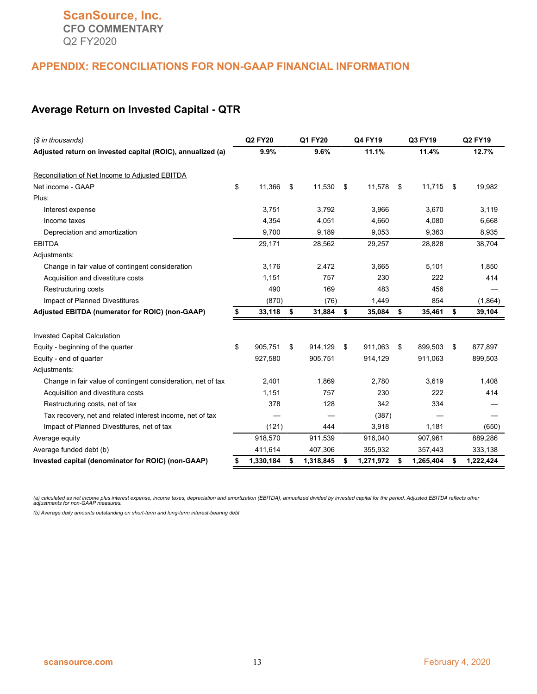#### **Average Return on Invested Capital - QTR**

| (\$ in thousands)                                            |    | Q2 FY20   |    | Q1 FY20   |    | Q4 FY19   |     | Q3 FY19   |    | Q2 FY19   |  |
|--------------------------------------------------------------|----|-----------|----|-----------|----|-----------|-----|-----------|----|-----------|--|
| Adjusted return on invested capital (ROIC), annualized (a)   |    | 9.9%      |    | 9.6%      |    | 11.1%     |     | 11.4%     |    | 12.7%     |  |
|                                                              |    |           |    |           |    |           |     |           |    |           |  |
| Reconciliation of Net Income to Adjusted EBITDA              |    |           |    |           |    |           |     |           |    |           |  |
| Net income - GAAP                                            | \$ | 11,366    | \$ | 11,530    | \$ | 11,578    | -\$ | 11,715    | \$ | 19,982    |  |
| Plus:                                                        |    |           |    |           |    |           |     |           |    |           |  |
| Interest expense                                             |    | 3,751     |    | 3,792     |    | 3,966     |     | 3,670     |    | 3,119     |  |
| Income taxes                                                 |    | 4,354     |    | 4,051     |    | 4,660     |     | 4,080     |    | 6,668     |  |
| Depreciation and amortization                                |    | 9,700     |    | 9,189     |    | 9,053     |     | 9,363     |    | 8,935     |  |
| <b>EBITDA</b>                                                |    | 29,171    |    | 28,562    |    | 29,257    |     | 28,828    |    | 38,704    |  |
| Adjustments:                                                 |    |           |    |           |    |           |     |           |    |           |  |
| Change in fair value of contingent consideration             |    | 3,176     |    | 2,472     |    | 3,665     |     | 5,101     |    | 1,850     |  |
| Acquisition and divestiture costs                            |    | 1,151     |    | 757       |    | 230       |     | 222       |    | 414       |  |
| Restructuring costs                                          |    | 490       |    | 169       |    | 483       |     | 456       |    |           |  |
| Impact of Planned Divestitures                               |    | (870)     |    | (76)      |    | 1,449     |     | 854       |    | (1,864)   |  |
| Adjusted EBITDA (numerator for ROIC) (non-GAAP)              | \$ | 33,118    | \$ | 31,884    | \$ | 35,084    | \$  | 35,461    | \$ | 39,104    |  |
|                                                              |    |           |    |           |    |           |     |           |    |           |  |
| <b>Invested Capital Calculation</b>                          |    |           |    |           |    |           |     |           |    |           |  |
| Equity - beginning of the quarter                            | \$ | 905,751   | \$ | 914,129   | \$ | 911,063   | \$  | 899,503   | \$ | 877,897   |  |
| Equity - end of quarter                                      |    | 927,580   |    | 905,751   |    | 914,129   |     | 911,063   |    | 899,503   |  |
| Adjustments:                                                 |    |           |    |           |    |           |     |           |    |           |  |
| Change in fair value of contingent consideration, net of tax |    | 2,401     |    | 1,869     |    | 2,780     |     | 3,619     |    | 1,408     |  |
| Acquisition and divestiture costs                            |    | 1,151     |    | 757       |    | 230       |     | 222       |    | 414       |  |
| Restructuring costs, net of tax                              |    | 378       |    | 128       |    | 342       |     | 334       |    |           |  |
| Tax recovery, net and related interest income, net of tax    |    |           |    |           |    | (387)     |     |           |    |           |  |
| Impact of Planned Divestitures, net of tax                   |    | (121)     |    | 444       |    | 3,918     |     | 1,181     |    | (650)     |  |
| Average equity                                               |    | 918,570   |    | 911,539   |    | 916,040   |     | 907,961   |    | 889,286   |  |
| Average funded debt (b)                                      |    | 411,614   |    | 407,306   |    | 355,932   |     | 357,443   |    | 333,138   |  |
| Invested capital (denominator for ROIC) (non-GAAP)           | \$ | 1,330,184 | \$ | 1,318,845 | \$ | 1,271,972 | \$  | 1,265,404 | \$ | 1,222,424 |  |

(a) calculated as net income plus interest expense, income taxes, depreciation and amortization (EBITDA), annualized divided by invested capital for the period. Adjusted EBITDA reflects other<br>adjustments for non-GAAP measu

*(b) Average daily amounts outstanding on short-term and long-term interest-bearing debt*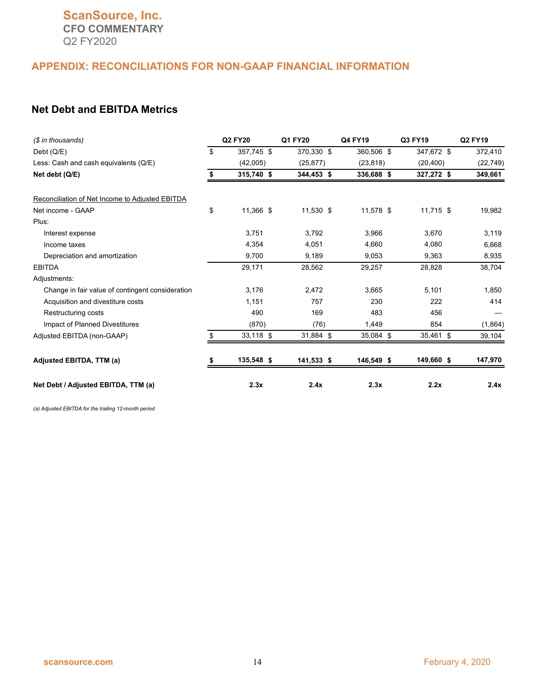# **APPENDIX: RECONCILIATIONS FOR NON-GAAP FINANCIAL INFORMATION**

#### **Net Debt and EBITDA Metrics**

| (\$ in thousands)                                | Q2 FY20          | Q1 FY20    | Q4 FY19    | Q3 FY19     | Q2 FY19   |
|--------------------------------------------------|------------------|------------|------------|-------------|-----------|
| Debt (Q/E)                                       | \$<br>357,745 \$ | 370,330 \$ | 360,506 \$ | 347,672 \$  | 372,410   |
| Less: Cash and cash equivalents (Q/E)            | (42,005)         | (25, 877)  | (23, 818)  | (20, 400)   | (22, 749) |
| Net debt (Q/E)                                   | \$<br>315,740 \$ | 344,453 \$ | 336,688 \$ | 327,272 \$  | 349,661   |
| Reconciliation of Net Income to Adjusted EBITDA  |                  |            |            |             |           |
| Net income - GAAP                                | \$<br>11,366 \$  | 11,530 \$  | 11,578 \$  | $11,715$ \$ | 19,982    |
| Plus:                                            |                  |            |            |             |           |
| Interest expense                                 | 3,751            | 3,792      | 3,966      | 3,670       | 3,119     |
| Income taxes                                     | 4,354            | 4,051      | 4,660      | 4,080       | 6,668     |
| Depreciation and amortization                    | 9,700            | 9,189      | 9,053      | 9,363       | 8,935     |
| <b>EBITDA</b>                                    | 29,171           | 28,562     | 29,257     | 28,828      | 38,704    |
| Adjustments:                                     |                  |            |            |             |           |
| Change in fair value of contingent consideration | 3,176            | 2,472      | 3,665      | 5,101       | 1,850     |
| Acquisition and divestiture costs                | 1,151            | 757        | 230        | 222         | 414       |
| Restructuring costs                              | 490              | 169        | 483        | 456         |           |
| Impact of Planned Divestitures                   | (870)            | (76)       | 1,449      | 854         | (1,864)   |
| Adjusted EBITDA (non-GAAP)                       | \$<br>33,118 \$  | 31,884 \$  | 35,084 \$  | 35,461 \$   | 39,104    |
| Adjusted EBITDA, TTM (a)                         | \$<br>135,548 \$ | 141,533 \$ | 146,549 \$ | 149,660 \$  | 147,970   |
| Net Debt / Adjusted EBITDA, TTM (a)              | 2.3x             | 2.4x       | 2.3x       | 2.2x        | 2.4x      |

*(a) Adjusted EBITDA for the trailing 12-month period*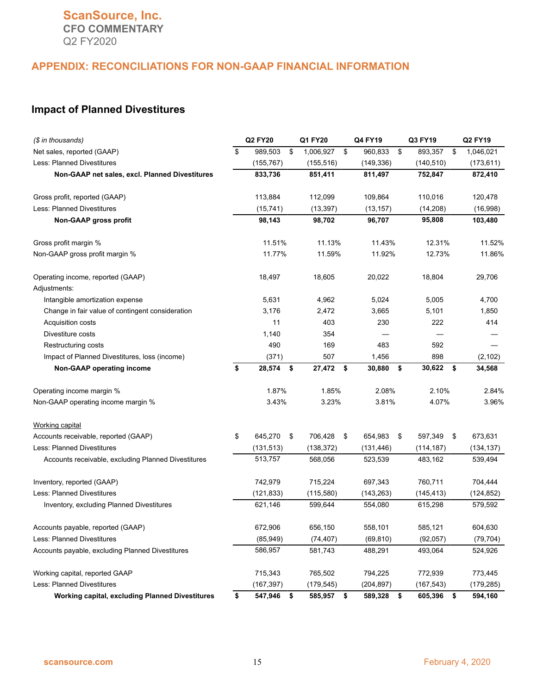# **Impact of Planned Divestitures**

| (\$ in thousands)                                      | Q2 FY20             | Q1 FY20         | Q4 FY19         | Q3 FY19        | Q2 FY19    |
|--------------------------------------------------------|---------------------|-----------------|-----------------|----------------|------------|
| Net sales, reported (GAAP)                             | \$<br>989,503<br>\$ | 1,006,927<br>\$ | 960,833<br>\$   | 893,357<br>\$  | 1,046,021  |
| Less: Planned Divestitures                             | (155, 767)          | (155, 516)      | (149, 336)      | (140, 510)     | (173, 611) |
| Non-GAAP net sales, excl. Planned Divestitures         | 833,736             | 851,411         | 811,497         | 752,847        | 872,410    |
| Gross profit, reported (GAAP)                          | 113,884             | 112,099         | 109,864         | 110,016        | 120,478    |
| Less: Planned Divestitures                             | (15, 741)           | (13, 397)       | (13, 157)       | (14,208)       | (16,998)   |
| Non-GAAP gross profit                                  | 98,143              | 98,702          | 96,707          | 95,808         | 103,480    |
| Gross profit margin %                                  | 11.51%              | 11.13%          | 11.43%          | 12.31%         | 11.52%     |
| Non-GAAP gross profit margin %                         | 11.77%              | 11.59%          | 11.92%          | 12.73%         | 11.86%     |
| Operating income, reported (GAAP)<br>Adjustments:      | 18,497              | 18,605          | 20,022          | 18,804         | 29,706     |
| Intangible amortization expense                        | 5,631               | 4,962           | 5,024           | 5,005          | 4,700      |
| Change in fair value of contingent consideration       | 3,176               | 2,472           | 3,665           | 5,101          | 1,850      |
| Acquisition costs                                      | 11                  | 403             | 230             | 222            | 414        |
| Divestiture costs                                      | 1,140               | 354             |                 |                |            |
| Restructuring costs                                    | 490                 | 169             | 483             | 592            |            |
| Impact of Planned Divestitures, loss (income)          | (371)               | 507             | 1,456           | 898            | (2, 102)   |
| Non-GAAP operating income                              | \$<br>28,574<br>\$  | 27,472<br>\$    | 30,880<br>\$    | 30,622<br>\$   | 34,568     |
| Operating income margin %                              | 1.87%               | 1.85%           | 2.08%           | 2.10%          | 2.84%      |
| Non-GAAP operating income margin %                     | 3.43%               | 3.23%           | 3.81%           | 4.07%          | 3.96%      |
| Working capital                                        |                     |                 |                 |                |            |
| Accounts receivable, reported (GAAP)                   | \$<br>645,270<br>\$ | 706,428<br>\$   | 654,983<br>- \$ | 597,349<br>\$  | 673,631    |
| Less: Planned Divestitures                             | (131, 513)          | (138, 372)      | (131, 446)      | (114, 187)     | (134, 137) |
| Accounts receivable, excluding Planned Divestitures    | 513,757             | 568,056         | 523,539         | 483,162        | 539,494    |
| Inventory, reported (GAAP)                             | 742,979             | 715,224         | 697,343         | 760,711        | 704,444    |
| Less: Planned Divestitures                             | (121, 833)          | (115, 580)      | (143, 263)      | (145, 413)     | (124, 852) |
| Inventory, excluding Planned Divestitures              | 621,146             | 599,644         | 554,080         | 615,298        | 579,592    |
| Accounts payable, reported (GAAP)                      | 672,906             | 656,150         | 558,101         | 585,121        | 604,630    |
| Less: Planned Divestitures                             | (85, 949)           | (74, 407)       | (69, 810)       | (92,057)       | (79, 704)  |
| Accounts payable, excluding Planned Divestitures       | 586,957             | 581,743         | 488,291         | 493,064        | 524,926    |
| Working capital, reported GAAP                         | 715,343             | 765,502         | 794,225         | 772,939        | 773,445    |
| <b>Less: Planned Divestitures</b>                      | (167, 397)          | (179, 545)      | (204, 897)      | (167, 543)     | (179, 285) |
| <b>Working capital, excluding Planned Divestitures</b> | \$<br>547,946<br>\$ | 585,957<br>\$   | 589,328<br>\$   | 605,396<br>-\$ | 594,160    |